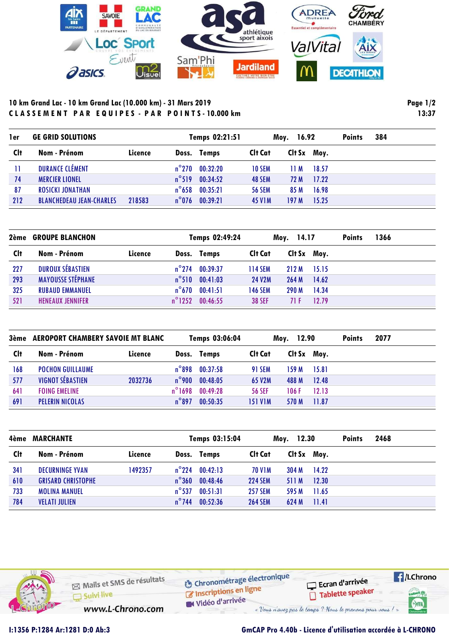

10 km Grand Lac - 10 km Grand Lac (10.000 km) - 31 Mars 2019 C L A S S E M E N T P A R E Q U I P E S - P A R P O I N T S - 10.000 km

| 1er | <b>GE GRID SOLUTIONS</b>        |         | Temps 02:21:51           |               | Moy. 16.92  |              |  | 384 |
|-----|---------------------------------|---------|--------------------------|---------------|-------------|--------------|--|-----|
| Clt | Nom - Prénom                    | Licence | Doss. Temps              | Clt Cat       | Clt Sx Moy. |              |  |     |
| 11  | <b>DURANCE CLÉMENT</b>          |         | $n^{\circ}$ 270 00:32:20 | 10 SEM        | 11 M        | <b>18.57</b> |  |     |
| 74  | <b>MERCIER LIONEL</b>           |         | $n^{\circ}519$ 00:34:52  | 48 SEM        | 72 M        | 17.22        |  |     |
| 87  | ROSICKI JONATHAN                |         | $n^{\circ}$ 658 00:35:21 | <b>56 SEM</b> | 85 M        | <b>16.98</b> |  |     |
| 212 | <b>BLANCHEDEAU JEAN-CHARLES</b> | 218583  | $n^{\circ}$ 076 00:39:21 | <b>45 V1M</b> | 197 M       | 15.25        |  |     |

|             | 2ème GROUPE BLANCHON     |         | Temps 02:49:24   |                          | Moy. 14.17     |             |       | <b>Points</b> | 1366 |  |
|-------------|--------------------------|---------|------------------|--------------------------|----------------|-------------|-------|---------------|------|--|
| <b>C</b> lt | Nom - Prénom             | Licence |                  | Doss. Temps              | Clt Cat        | Clt Sx Moy. |       |               |      |  |
| 227         | DUROUX SÉBASTIEN         |         |                  | $n^{\circ}$ 274 00:39:37 | 114 SEM        | 212 M       | 15.15 |               |      |  |
| 293         | <b>MAYOUSSE STÉPHANE</b> |         |                  | $n^{\circ}510$ 00:41:03  | <b>24 V2M</b>  | 264 M       | 14.62 |               |      |  |
| 325         | <b>RUBAUD EMMANUEL</b>   |         |                  | $n^{\circ}670$ 00:41:51  | <b>146 SEM</b> | 290 M       | 14.34 |               |      |  |
| 521         | <b>HENEAUX JENNIFER</b>  |         | $n^{\circ}$ 1252 | 00:46:55                 | <b>38 SEF</b>  | 71 F.       | 12.79 |               |      |  |

|     | <b>3ème AEROPORT CHAMBERY SAVOIE MT BLANC</b> |         | Temps 03:06:04  |                           | Moy. 12.90    |             |       | <b>Points</b> | 2077 |
|-----|-----------------------------------------------|---------|-----------------|---------------------------|---------------|-------------|-------|---------------|------|
| Clt | Nom - Prénom                                  | Licence |                 | Doss. Temps               | Clt Cat       | Clt Sx Moy. |       |               |      |
| 168 | <b>POCHON GUILLAUME</b>                       |         |                 | $n^{\circ}898$ 00:37:58   | 91 SEM        | 159 M       | 15.81 |               |      |
| 577 | VIGNOT SÉBASTIEN                              | 2032736 | $n^{\circ}$ 900 | 00:48:05                  | 65 V2M        | 488 M       | 12.48 |               |      |
| 641 | <b>FOING EMELINE</b>                          |         |                 | $n^{\circ}$ 1698 00:49:28 | <b>56 SEF</b> | 106 F       | 12.13 |               |      |
| 691 | <b>PELERIN NICOLAS</b>                        |         | $n^{\circ}897$  | 00:50:35                  | 151 VIM       | 570 M       | 11.87 |               |      |

| 4ème        | <b>MARCHANTE</b>          |         | Temps 03:15:04  |                         | Moy. 12.30     |             |       | <b>Points</b> | 2468 |
|-------------|---------------------------|---------|-----------------|-------------------------|----------------|-------------|-------|---------------|------|
| <b>C</b> lt | Nom - Prénom              | Licence |                 | Doss. Temps             | Clt Cat        | Clt Sx Moy. |       |               |      |
| 341         | <b>DECURNINGE YVAN</b>    | 1492357 | $n^{\circ}$ 224 | 00:42:13                | <b>70 V1M</b>  | 304 M       | 14.22 |               |      |
| 610         | <b>GRISARD CHRISTOPHE</b> |         |                 | $n^{\circ}360$ 00:48:46 | <b>224 SEM</b> | 511 M       | 12.30 |               |      |
| 733         | <b>MOLINA MANUEL</b>      |         | $n^{\circ}$ 537 | 00:51:31                | <b>257 SEM</b> | 595 M       | 11.65 |               |      |
| 784         | <b>VELATI JULIEN</b>      |         | $n^{\circ}$ 744 | 00:52:36                | <b>264 SEM</b> | 624 M       | 11.41 |               |      |



## I:1356 P:1284 Ar:1281 D:0 Ab:3 GmCAP Pro 4.40b - Licence d'utilisation accordée à L-CHRONO